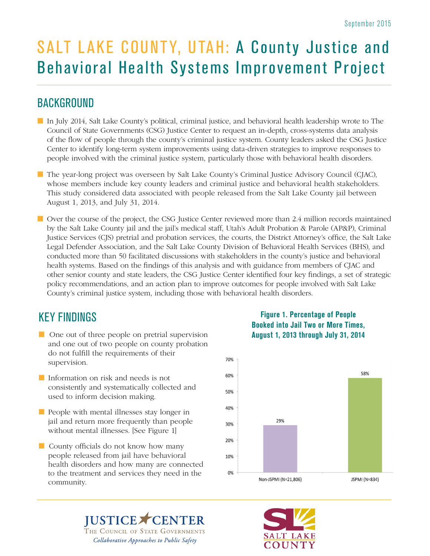# SALT LAKE COUNTY, UTAH: A County Justice and Behavioral Health Systems Improvement Project

### BACKGROUND

- In July 2014, Salt Lake County's political, criminal justice, and behavioral health leadership wrote to The Council of State Governments (CSG) Justice Center to request an in-depth, cross-systems data analysis of the flow of people through the county's criminal justice system. County leaders asked the CSG Justice Center to identify long-term system improvements using data-driven strategies to improve responses to people involved with the criminal justice system, particularly those with behavioral health disorders.
- The year-long project was overseen by Salt Lake County's Criminal Justice Advisory Council (CJAC), whose members include key county leaders and criminal justice and behavioral health stakeholders. This study considered data associated with people released from the Salt Lake County jail between August 1, 2013, and July 31, 2014.
- Over the course of the project, the CSG Justice Center reviewed more than 2.4 million records maintained by the Salt Lake County jail and the jail's medical staff, Utah's Adult Probation & Parole (AP&P), Criminal Justice Services (CJS) pretrial and probation services, the courts, the District Attorney's office, the Salt Lake Legal Defender Association, and the Salt Lake County Division of Behavioral Health Services (BHS), and conducted more than 50 facilitated discussions with stakeholders in the county's justice and behavioral health systems. Based on the findings of this analysis and with guidance from members of CJAC and other senior county and state leaders, the CSG Justice Center identified four key findings, a set of strategic policy recommendations, and an action plan to improve outcomes for people involved with Salt Lake County's criminal justice system, including those with behavioral health disorders.

### KEY FINDINGS

- One out of three people on pretrial supervision and one out of two people on county probation do not fulfill the requirements of their supervision.
- Information on risk and needs is not consistently and systematically collected and used to inform decision making.
- People with mental illnesses stay longer in jail and return more frequently than people without mental illnesses. [See Figure 1]
- County officials do not know how many people released from jail have behavioral health disorders and how many are connected to the treatment and services they need in the community.

#### Figure 1. Percentage of People Booked into Jail Two or More Times, August 1, 2013 through July 31, 2014





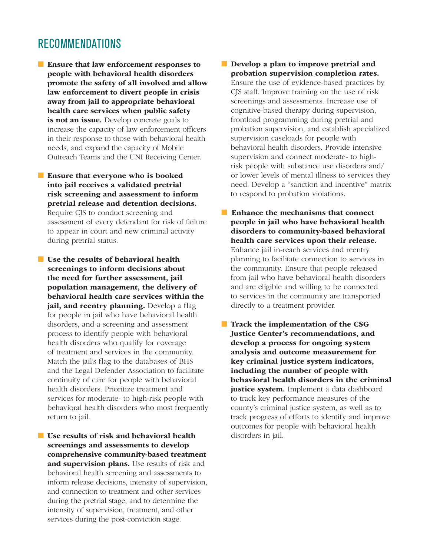### **RECOMMENDATIONS**

- Ensure that law enforcement responses to people with behavioral health disorders promote the safety of all involved and allow law enforcement to divert people in crisis away from jail to appropriate behavioral health care services when public safety is not an issue. Develop concrete goals to increase the capacity of law enforcement officers in their response to those with behavioral health needs, and expand the capacity of Mobile Outreach Teams and the UNI Receiving Center.
- Ensure that everyone who is booked into jail receives a validated pretrial risk screening and assessment to inform pretrial release and detention decisions.

Require CJS to conduct screening and assessment of every defendant for risk of failure to appear in court and new criminal activity during pretrial status.

■ Use the results of behavioral health screenings to inform decisions about the need for further assessment, jail population management, the delivery of behavioral health care services within the jail, and reentry planning. Develop a flag for people in jail who have behavioral health disorders, and a screening and assessment process to identify people with behavioral health disorders who qualify for coverage of treatment and services in the community. Match the jail's flag to the databases of BHS and the Legal Defender Association to facilitate continuity of care for people with behavioral health disorders. Prioritize treatment and services for moderate- to high-risk people with behavioral health disorders who most frequently return to jail.

■ Use results of risk and behavioral health screenings and assessments to develop comprehensive community-based treatment and supervision plans. Use results of risk and behavioral health screening and assessments to inform release decisions, intensity of supervision, and connection to treatment and other services during the pretrial stage, and to determine the intensity of supervision, treatment, and other services during the post-conviction stage.

■ Develop a plan to improve pretrial and probation supervision completion rates. Ensure the use of evidence-based practices by CJS staff. Improve training on the use of risk screenings and assessments. Increase use of cognitive-based therapy during supervision, frontload programming during pretrial and probation supervision, and establish specialized supervision caseloads for people with behavioral health disorders. Provide intensive supervision and connect moderate- to highrisk people with substance use disorders and/ or lower levels of mental illness to services they need. Develop a "sanction and incentive" matrix to respond to probation violations.

- Enhance the mechanisms that connect people in jail who have behavioral health disorders to community-based behavioral health care services upon their release. Enhance jail in-reach services and reentry planning to facilitate connection to services in the community. Ensure that people released from jail who have behavioral health disorders and are eligible and willing to be connected to services in the community are transported directly to a treatment provider.
- Track the implementation of the CSG Justice Center's recommendations, and develop a process for ongoing system analysis and outcome measurement for key criminal justice system indicators, including the number of people with behavioral health disorders in the criminal justice system. Implement a data dashboard to track key performance measures of the county's criminal justice system, as well as to track progress of efforts to identify and improve outcomes for people with behavioral health disorders in jail.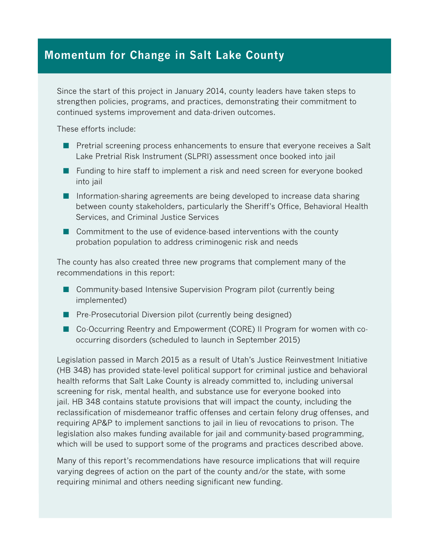### **Momentum for Change in Salt Lake County**

Since the start of this project in January 2014, county leaders have taken steps to strengthen policies, programs, and practices, demonstrating their commitment to continued systems improvement and data-driven outcomes.

These efforts include:

- **n** Pretrial screening process enhancements to ensure that everyone receives a Salt Lake Pretrial Risk Instrument (SLPRI) assessment once booked into jail
- $\blacksquare$  Funding to hire staff to implement a risk and need screen for everyone booked into jail
- **n** Information-sharing agreements are being developed to increase data sharing between county stakeholders, particularly the Sheriff's Office, Behavioral Health Services, and Criminal Justice Services
- $\blacksquare$  Commitment to the use of evidence-based interventions with the county probation population to address criminogenic risk and needs

The county has also created three new programs that complement many of the recommendations in this report:

- Community-based Intensive Supervision Program pilot (currently being implemented)
- **n** Pre-Prosecutorial Diversion pilot (currently being designed)
- Co-Occurring Reentry and Empowerment (CORE) II Program for women with cooccurring disorders (scheduled to launch in September 2015)

Legislation passed in March 2015 as a result of Utah's Justice Reinvestment Initiative (HB 348) has provided state-level political support for criminal justice and behavioral health reforms that Salt Lake County is already committed to, including universal screening for risk, mental health, and substance use for everyone booked into jail. HB 348 contains statute provisions that will impact the county, including the reclassification of misdemeanor traffic offenses and certain felony drug offenses, and requiring AP&P to implement sanctions to jail in lieu of revocations to prison. The legislation also makes funding available for jail and community-based programming, which will be used to support some of the programs and practices described above.

Many of this report's recommendations have resource implications that will require varying degrees of action on the part of the county and/or the state, with some requiring minimal and others needing significant new funding.